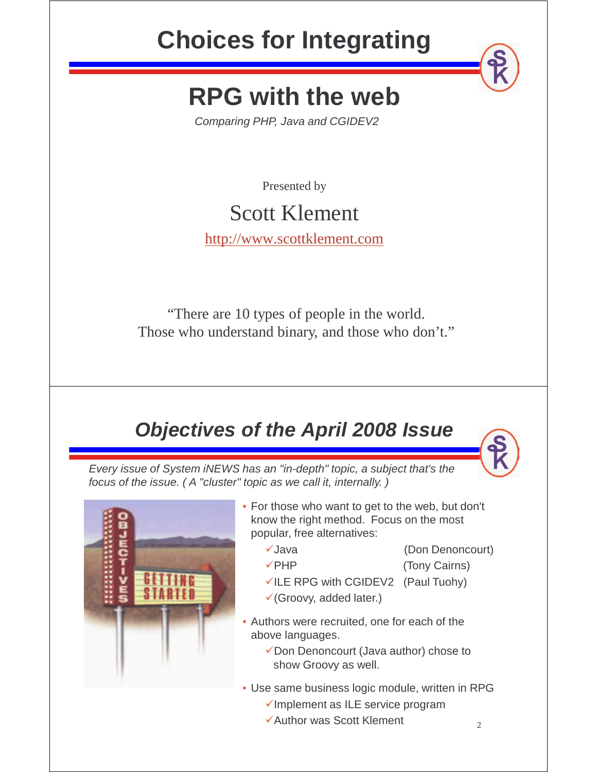## **Choices for Integrating**

## **RPG with the web**

Comparing PHP, Java and CGIDEV2

Presented by

### Scott Klement

http://www.scottklement.com

"There are 10 types of people in the world. Those who understand binary, and those who don't."

### **Objectives of the April 2008 Issue**

Every issue of System iNEWS has an "in-depth" topic, a subject that's the focus of the issue. ( A "cluster" topic as we call it, internally. )





• For those who want to get to the web, but don't know the right method. Focus on the most popular, free alternatives:

- Java (Don Denoncourt)
	-
- **Fig.** (Tony Cairns)
- $\checkmark$ ILE RPG with CGIDEV2 (Paul Tuohy)
- (Groovy, added later.)
- Authors were recruited, one for each of the above languages.
	- Don Denoncourt (Java author) chose to show Groovy as well.
- Use same business logic module, written in RPG
	- $\checkmark$ Implement as ILE service program
	- Author was Scott Klement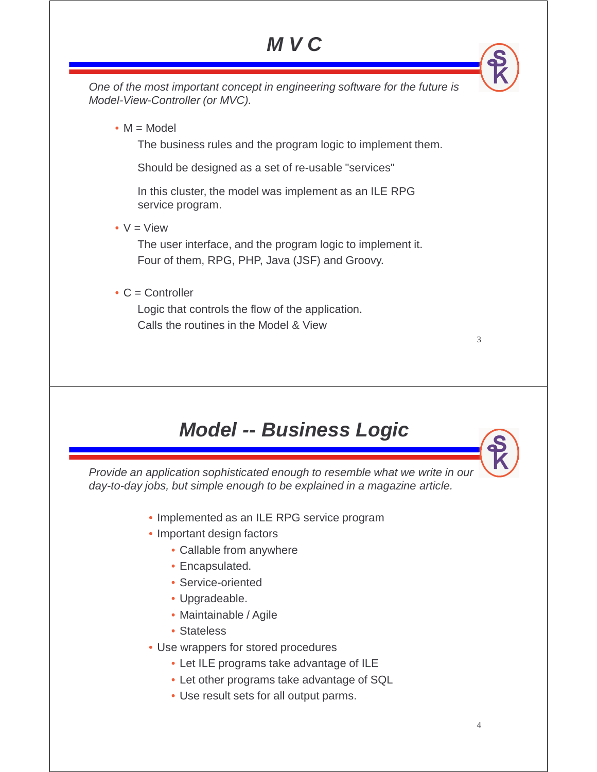### **M V C**

One of the most important concept in engineering software for the future is Model-View-Controller (or MVC).

•  $M = Model$ 

The business rules and the program logic to implement them.

Should be designed as a set of re-usable "services"

In this cluster, the model was implement as an ILE RPG service program.

•  $V = V$ iew

The user interface, and the program logic to implement it. Four of them, RPG, PHP, Java (JSF) and Groovy.

 $\bullet$  C = Controller

Logic that controls the flow of the application. Calls the routines in the Model & View

### **Model -- Business Logic**

Provide an application sophisticated enough to resemble what we write in our day-to-day jobs, but simple enough to be explained in a magazine article.

- Implemented as an ILE RPG service program
- Important design factors
	- Callable from anywhere
	- Encapsulated.
	- Service-oriented
	- Upgradeable.
	- Maintainable / Agile
	- Stateless
- Use wrappers for stored procedures
	- Let ILE programs take advantage of ILE
	- Let other programs take advantage of SQL
	- Use result sets for all output parms.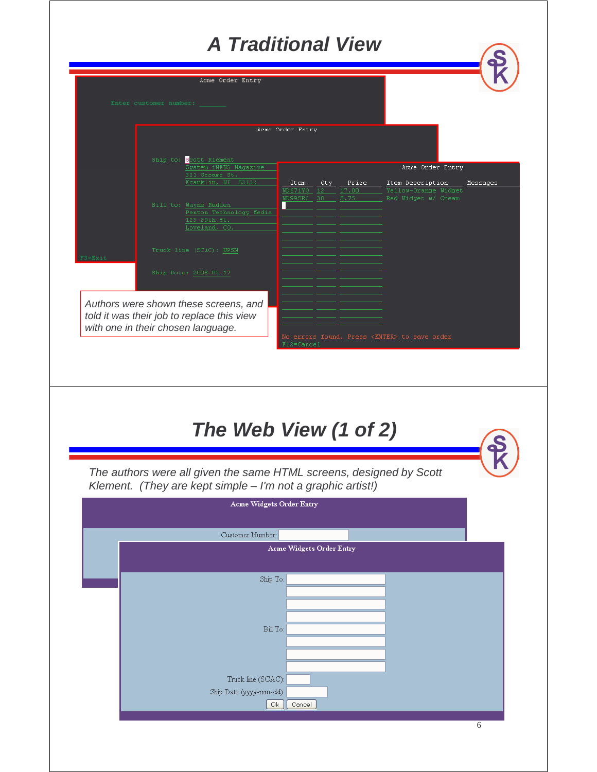### **A Traditional View**

| <b>A Traditional View</b>                                                                                                        |          |  |  |  |
|----------------------------------------------------------------------------------------------------------------------------------|----------|--|--|--|
| Acme Order Entry                                                                                                                 |          |  |  |  |
| Enter customer number:                                                                                                           |          |  |  |  |
| Acme Order Entry                                                                                                                 |          |  |  |  |
| Ship to: Scott Klement<br>System iNEWS Magazine<br>Acme Order Entry                                                              |          |  |  |  |
| 321 Sesame St.<br>Franklin, WI 53132<br>Item<br>Price<br>Qty.<br>Item Description<br>WD671YO 12<br>17.00<br>Yellow-Orange Widget | Messages |  |  |  |
| WD995RC 30<br>5.75<br>Red Widget w/ Cream<br>Bill to: Wayne Madden<br>Penton Technology Media                                    |          |  |  |  |
| 123 29th St.<br>Loveland, CO.                                                                                                    |          |  |  |  |
| Truck line (SCAC): UPSN                                                                                                          |          |  |  |  |
| Ship Date: 2008-04-17                                                                                                            |          |  |  |  |
| Authors were shown these screens, and<br>told it was their job to replace this view                                              |          |  |  |  |
| with one in their chosen language.<br>No errors found. Press <enter> to save order<br/>F12=Cancel</enter>                        |          |  |  |  |
|                                                                                                                                  |          |  |  |  |
|                                                                                                                                  |          |  |  |  |
| The Web View (1 of 2)<br>The authors were all given the same HTML screens, designed by Scott                                     |          |  |  |  |
| Klement. (They are kept simple - I'm not a graphic artist!)                                                                      |          |  |  |  |
| <b>Acme Widgets Order Entry</b>                                                                                                  |          |  |  |  |
| Customer Number:<br><b>Acme Widgets Order Entry</b>                                                                              |          |  |  |  |
|                                                                                                                                  |          |  |  |  |
| Ship To:                                                                                                                         |          |  |  |  |
|                                                                                                                                  |          |  |  |  |
| Bill To:                                                                                                                         |          |  |  |  |
|                                                                                                                                  |          |  |  |  |
| Truck line (SCAC):<br>Ship Date (yyyy-mm-dd):                                                                                    |          |  |  |  |
| Cancel<br>0k                                                                                                                     |          |  |  |  |
|                                                                                                                                  | 6        |  |  |  |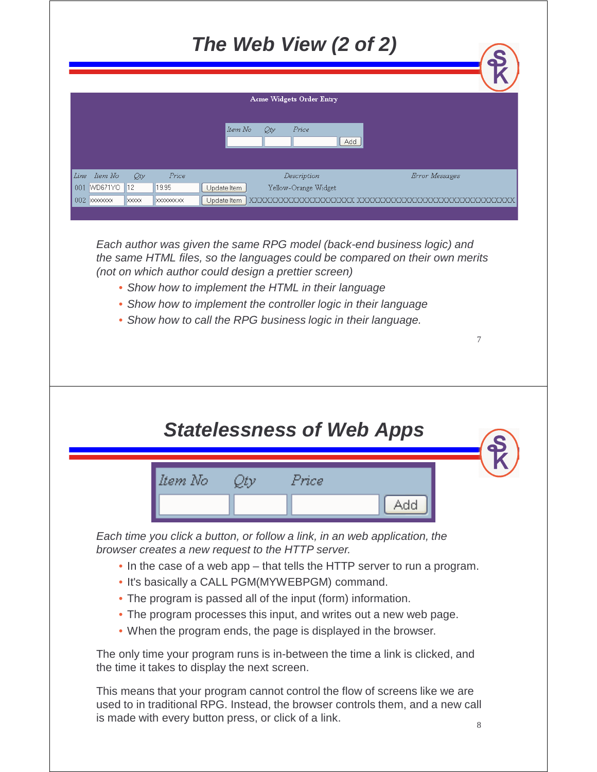|                                  | The Web View (2 of 2)                                                                                                              |
|----------------------------------|------------------------------------------------------------------------------------------------------------------------------------|
|                                  |                                                                                                                                    |
|                                  | <b>Acme Widgets Order Entry</b>                                                                                                    |
|                                  | Item No<br>Qty<br>Price<br>Add                                                                                                     |
|                                  |                                                                                                                                    |
| – Item No<br>Line<br>001 WD671YO | Price<br>Error Messages<br>Qty<br>Description<br> 12 <br>19.95<br>Yellow-Orange Widget<br>Update Item                              |
|                                  | $\times$<br>}OO@@@@@@@@@@@@@@@@@@@@@@@@<br>Update Item<br>0000000000                                                               |
|                                  | 7                                                                                                                                  |
|                                  | <b>Statelessness of Web Apps</b>                                                                                                   |
|                                  | ltem No<br>Price                                                                                                                   |
|                                  | Add                                                                                                                                |
|                                  | Each time you click a button, or follow a link, in an web application, the                                                         |
|                                  | browser creates a new request to the HTTP server.<br>• In the case of a web app – that tells the HTTP server to run a program.     |
|                                  | . It's basically a CALL PGM(MYWEBPGM) command.                                                                                     |
|                                  | • The program is passed all of the input (form) information.<br>• The program processes this input, and writes out a new web page. |
|                                  | • When the program ends, the page is displayed in the browser.                                                                     |
|                                  | The only time your program runs is in-between the time a link is clicked, and<br>the time it takes to display the next screen.     |
|                                  | This means that your program cannot control the flow of screens like we are                                                        |

This means that your program cannot control the flow of screens like we are used to in traditional RPG. Instead, the browser controls them, and a new call is made with every button press, or click of a link.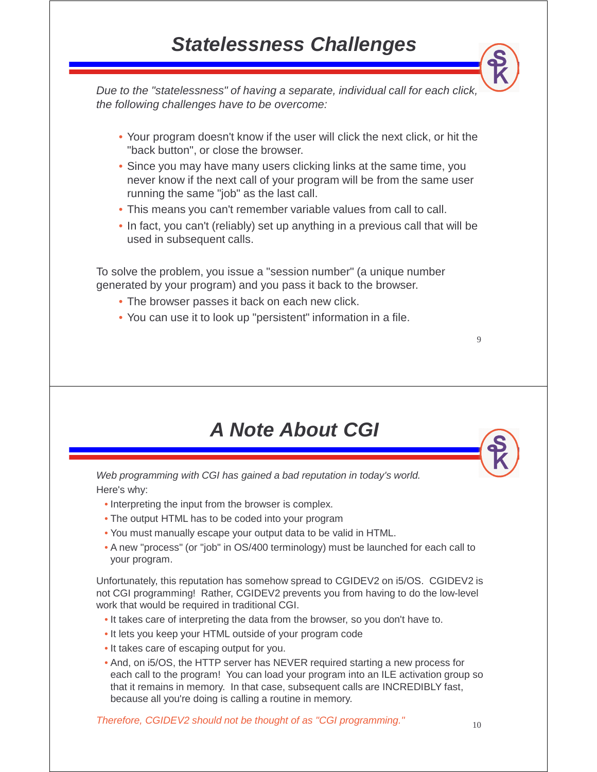Due to the "statelessness" of having a separate, individual call for each click, the following challenges have to be overcome:

- Your program doesn't know if the user will click the next click, or hit the "back button", or close the browser.
- Since you may have many users clicking links at the same time, you never know if the next call of your program will be from the same user running the same "job" as the last call.
- This means you can't remember variable values from call to call.
- In fact, you can't (reliably) set up anything in a previous call that will be used in subsequent calls.

To solve the problem, you issue a "session number" (a unique number generated by your program) and you pass it back to the browser.

- The browser passes it back on each new click.
- You can use it to look up "persistent" information in a file.

### **A Note About CGI**

Web programming with CGI has gained a bad reputation in today's world. Here's why:

- Interpreting the input from the browser is complex.
- The output HTML has to be coded into your program
- You must manually escape your output data to be valid in HTML.
- A new "process" (or "job" in OS/400 terminology) must be launched for each call to your program.

Unfortunately, this reputation has somehow spread to CGIDEV2 on i5/OS. CGIDEV2 is not CGI programming! Rather, CGIDEV2 prevents you from having to do the low-level work that would be required in traditional CGI.

- It takes care of interpreting the data from the browser, so you don't have to.
- It lets you keep your HTML outside of your program code
- It takes care of escaping output for you.
- And, on i5/OS, the HTTP server has NEVER required starting a new process for each call to the program! You can load your program into an ILE activation group so that it remains in memory. In that case, subsequent calls are INCREDIBLY fast, because all you're doing is calling a routine in memory.

Therefore, CGIDEV2 should not be thought of as "CGI programming."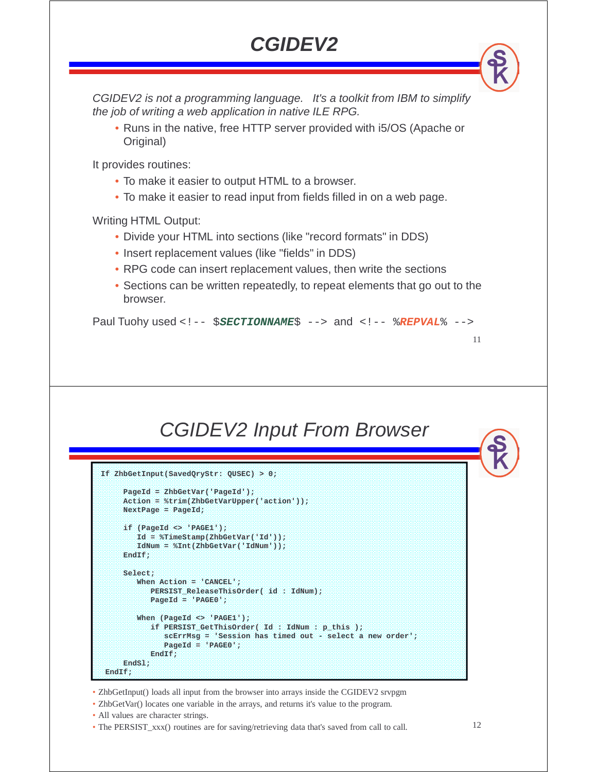### **CGIDEV2**

CGIDEV2 is not a programming language. It's a toolkit from IBM to simplify the job of writing a web application in native ILE RPG.

• Runs in the native, free HTTP server provided with i5/OS (Apache or Original)

It provides routines:

- To make it easier to output HTML to a browser.
- To make it easier to read input from fields filled in on a web page.

Writing HTML Output:

- Divide your HTML into sections (like "record formats" in DDS)
- Insert replacement values (like "fields" in DDS)
- RPG code can insert replacement values, then write the sections
- Sections can be written repeatedly, to repeat elements that go out to the browser.

Paul Tuohy used <!-- \$**SECTIONNAME**\$ --> and <!-- %**REPVAL**% -->

### CGIDEV2 Input From Browser

```
If ZhbGetInput(SavedQryStr: QUSEC) > 0;
    PageId = ZhbGetVar('PageId');
    Action = %trim(ZhbGetVarUpper('action'));
    NextPage = PageId;
    if (PageId <> 'PAGE1');
       Id = %TimeStamp(ZhbGetVar('Id'));
       IdNum = %Int(ZhbGetVar('IdNum'));
    EndIf;
    Select;
       When Action = 'CANCEL';
          PERSIST_ReleaseThisOrder( id : IdNum);
          PageId = 'PAGE0';
       When (PageId <> 'PAGE1');
           if PERSIST_GetThisOrder( Id : IdNum : p_this );
             scErrMsg = 'Session has timed out - select a new order';
             PageId = 'PAGE0';
          EndIf;
    EndSl; 
EndIf;
```
• ZhbGetInput() loads all input from the browser into arrays inside the CGIDEV2 srvpgm

- ZhbGetVar() locates one variable in the arrays, and returns it's value to the program.
- All values are character strings.
- The PERSIST\_xxx() routines are for saving/retrieving data that's saved from call to call.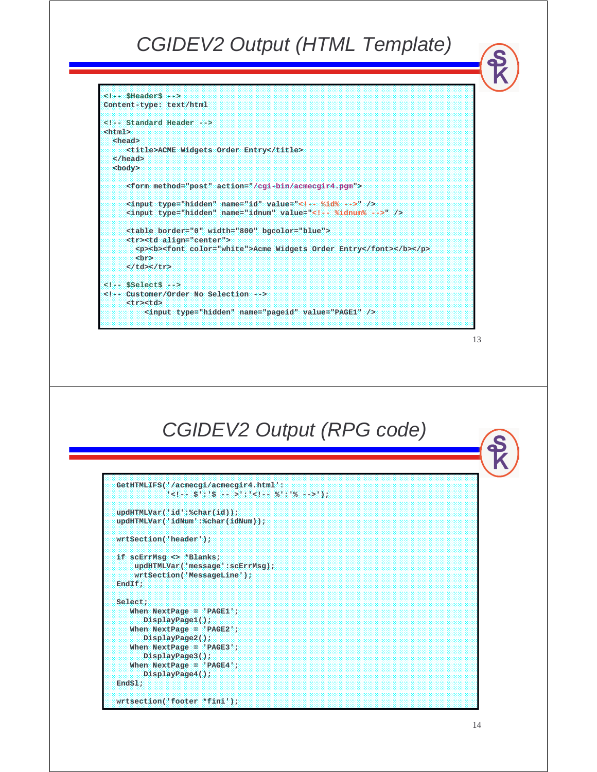#### CGIDEV2 Output (HTML Template)

```
<!-- $Header$ -->
Content-type: text/html
<!-- Standard Header -->
<html>
 <head>
    <title>ACME Widgets Order Entry</title>
  </head>
 <body>
    <form method="post" action="/cgi-bin/acmecgir4.pgm"> 
    <input type="hidden" name="id" value="<!-- %id% -->" />
    <input type="hidden" name="idnum" value="<!-- %idnum% -->" />
     <table border="0" width="800" bgcolor="blue">
    <tr><td align="center">
       <p><b><font color="white">Acme Widgets Order Entry</font></b></p>
      <br>
     </td></tr>
<!-- $Select$ -->
<!-- Customer/Order No Selection -->
     <tr><td>
         <input type="hidden" name="pageid" value="PAGE1" />
```

```
13
```
### CGIDEV2 Output (RPG code)

```
GetHTMLIFS('/acmecgi/acmecgir4.html':
           '<!-- $':'$ -- >':'<!-- %':'% -->'); 
updHTMLVar('id':%char(id));
updHTMLVar('idNum':%char(idNum));
wrtSection('header'); 
if scErrMsg <> *Blanks;
   updHTMLVar('message':scErrMsg);
   wrtSection('MessageLine');
EndIf;
Select;
  When NextPage = 'PAGE1';
     DisplayPage1();
  When NextPage = 'PAGE2';
     DisplayPage2();
  When NextPage = 'PAGE3';
     DisplayPage3();
  When NextPage = 'PAGE4';
     DisplayPage4();
EndSl; 
wrtsection('footer *fini');
```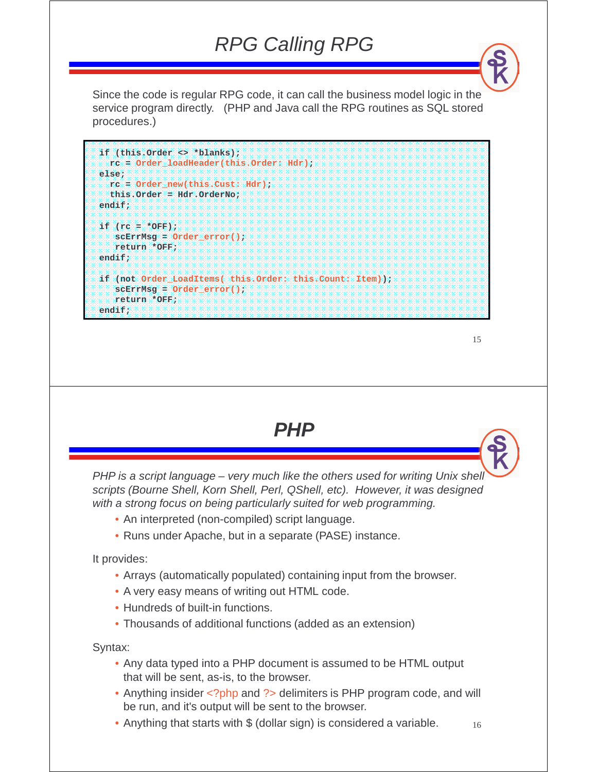### RPG Calling RPG

Since the code is regular RPG code, it can call the business model logic in the service program directly. (PHP and Java call the RPG routines as SQL stored procedures.)

```
if (this.Order <> *blanks); 
 rc = Order_loadHeader(this.Order: Hdr); 
else; 
 rc = Order_new(this.Cust: Hdr); 
  this.Order = Hdr.OrderNo; 
endif; 
if (rc = *OFF); 
   scErrMsg = Order_error(); 
   return *OFF; 
endif; 
if (not Order_LoadItems( this.Order: this.Count: Item)); 
  scErrMsg = Order_error(); 
  return *OFF; 
endif;
```

```
15
```
**PHP**

PHP is a script language – very much like the others used for writing Unix shell scripts (Bourne Shell, Korn Shell, Perl, QShell, etc). However, it was designed with a strong focus on being particularly suited for web programming.

- An interpreted (non-compiled) script language.
- Runs under Apache, but in a separate (PASE) instance.

It provides:

- Arrays (automatically populated) containing input from the browser.
- A very easy means of writing out HTML code.
- Hundreds of built-in functions.
- Thousands of additional functions (added as an extension)

Syntax:

- Any data typed into a PHP document is assumed to be HTML output that will be sent, as-is, to the browser.
- Anything insider <?php and ?> delimiters is PHP program code, and will be run, and it's output will be sent to the browser.
- 16 • Anything that starts with \$ (dollar sign) is considered a variable.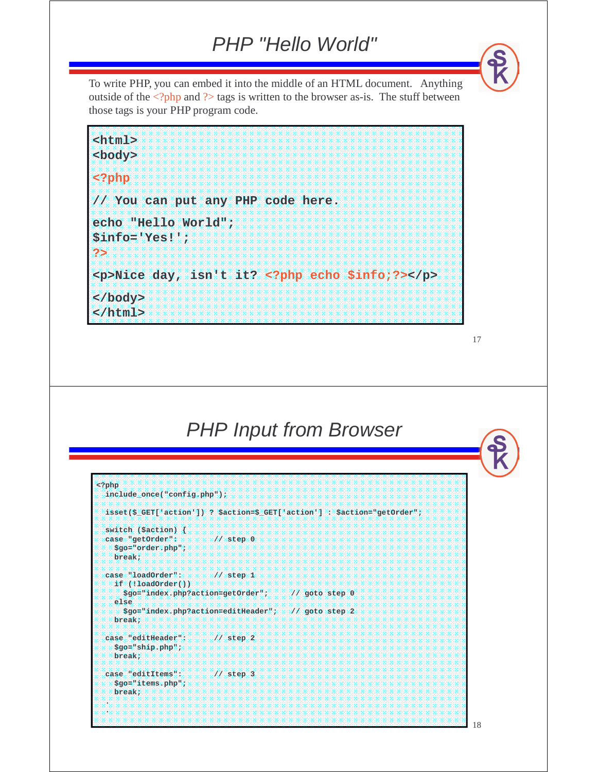#### PHP "Hello World"

To write PHP, you can embed it into the middle of an HTML document. Anything outside of the  $\langle \text{2php} \rangle$  and  $\langle \text{2ptp} \rangle$  tags is written to the browser as-is. The stuff between those tags is your PHP program code.

**<html> <body> <?php // You can put any PHP code here. echo "Hello World"; \$info='Yes!'; ?> <p>Nice day, isn't it? <?php echo \$info;?></p> </body> </html>**

17

### PHP Input from Browser

```
<?php
 include_once("config.php");
 isset($_GET['action']) ? $action=$_GET['action'] : $action="getOrder";
 switch ($action) {
 case "getOrder": // step 0
   $go="order.php";
   break;
 case "loadOrder": // step 1
   if (!loadOrder()) 
     $go="index.php?action=getOrder"; // goto step 0
   else
     $go="index.php?action=editHeader"; // goto step 2
   break;
 case "editHeader": // step 2
   $go="ship.php";
   break;
 case "editItems": // step 3
   $go="items.php";
   break;
 .
```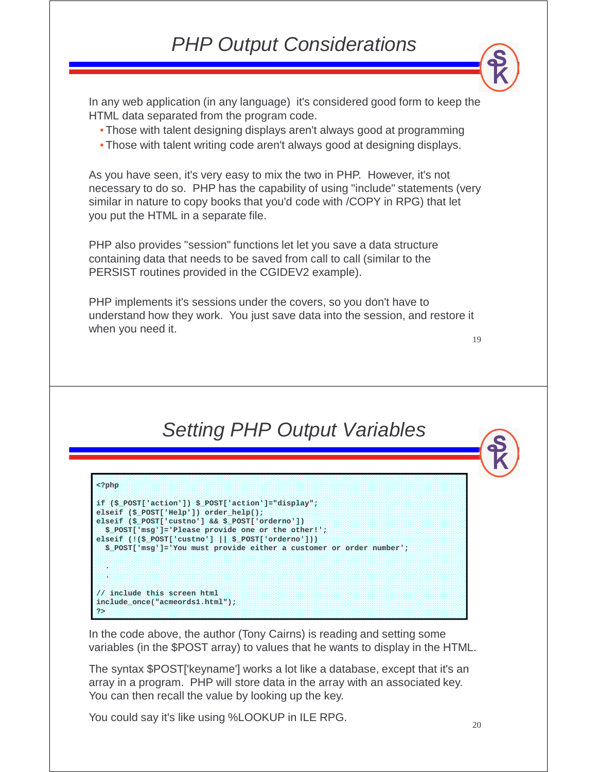### PHP Output Considerations

In any web application (in any language) it's considered good form to keep the HTML data separated from the program code.

- Those with talent designing displays aren't always good at programming
- Those with talent writing code aren't always good at designing displays.

As you have seen, it's very easy to mix the two in PHP. However, it's not necessary to do so. PHP has the capability of using "include" statements (very similar in nature to copy books that you'd code with /COPY in RPG) that let you put the HTML in a separate file.

PHP also provides "session" functions let let you save a data structure containing data that needs to be saved from call to call (similar to the PERSIST routines provided in the CGIDEV2 example).

PHP implements it's sessions under the covers, so you don't have to understand how they work. You just save data into the session, and restore it when you need it.

19

### Setting PHP Output Variables

| $<$ ?php                                                                           |
|------------------------------------------------------------------------------------|
|                                                                                    |
| if $(S \text{ POST}[\text{action}']$ $S \text{ POST}[\text{action}'] = "display']$ |
| elseif (\$ POST['Help']) order help();                                             |
| elseif $(S$ POST['custno'] && $S$ POST['orderno'])                                 |
| $$$ POST['msq']='Please provide one or the other!';                                |
| elseif $(!(\frac{5}{2}POST['customer']    \frac{5}{2} POST['orderno'])$            |
| \$ POST['msq']='You must provide either a customer or order number';               |
|                                                                                    |
| 89                                                                                 |
| ×                                                                                  |
|                                                                                    |
| // include this screen html                                                        |
| include once("acmeords1.html");                                                    |
| 25                                                                                 |

In the code above, the author (Tony Cairns) is reading and setting some variables (in the \$POST array) to values that he wants to display in the HTML.

The syntax \$POST['keyname'] works a lot like a database, except that it's an array in a program. PHP will store data in the array with an associated key. You can then recall the value by looking up the key.

You could say it's like using %LOOKUP in ILE RPG.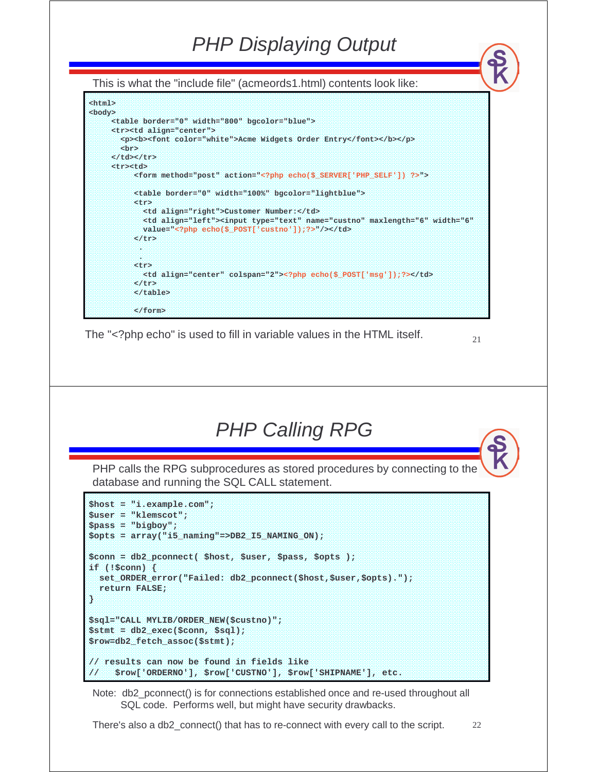This is what the "include file" (acmeords1.html) contents look like:



The "<?php echo" is used to fill in variable values in the HTML itself.

## PHP Calling RPG

PHP calls the RPG subprocedures as stored procedures by connecting to the database and running the SQL CALL statement.

```
$host = "i.example.com";
$user = "klemscot";
$pass = "bigboy";
$opts = array("i5_naming"=>DB2_I5_NAMING_ON);
$conn = db2_pconnect( $host, $user, $pass, $opts );
if (!$conn) {
 set_ORDER_error("Failed: db2_pconnect($host,$user,$opts).");
 return FALSE;
}
$sql="CALL MYLIB/ORDER_NEW($custno)";
$stmt = db2_exec($conn, $sql);
$row=db2_fetch_assoc($stmt);
// results can now be found in fields like
// $row['ORDERNO'], $row['CUSTNO'], $row['SHIPNAME'], etc.
```
Note: db2 pconnect() is for connections established once and re-used throughout all SQL code. Performs well, but might have security drawbacks.

There's also a db2\_connect() that has to re-connect with every call to the script.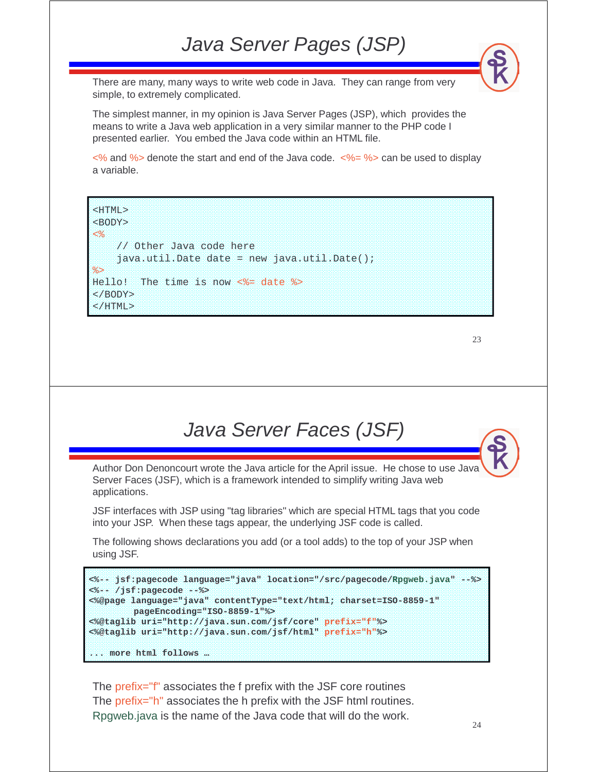### Java Server Pages (JSP)

There are many, many ways to write web code in Java. They can range from very simple, to extremely complicated.

The simplest manner, in my opinion is Java Server Pages (JSP), which provides the means to write a Java web application in a very similar manner to the PHP code I presented earlier. You embed the Java code within an HTML file.

 $\langle\%$  and % denote the start and end of the Java code.  $\langle\% = \% \rangle$  can be used to display a variable.

<BODY> <% // Other Java code here  $java.util.Date date = new java.util.Date()$ ; %> Hello! The time is now  $\langle\$ <sup>2</sup> date  $\langle\$ </BODY> </HTML>

<HTML>

23

### Java Server Faces (JSF)

Author Don Denoncourt wrote the Java article for the April issue. He chose to use Java Server Faces (JSF), which is a framework intended to simplify writing Java web applications.

JSF interfaces with JSP using "tag libraries" which are special HTML tags that you code into your JSP. When these tags appear, the underlying JSF code is called.

The following shows declarations you add (or a tool adds) to the top of your JSP when using JSF.

```
<%-- jsf:pagecode language="java" location="/src/pagecode/Rpgweb.java" --%>
<%-- /jsf:pagecode --%>
<%@page language="java" contentType="text/html; charset=ISO-8859-1"
        pageEncoding="ISO-8859-1"%>
<%@taglib uri="http://java.sun.com/jsf/core" prefix="f"%>
<%@taglib uri="http://java.sun.com/jsf/html" prefix="h"%>
... more html follows …
```
The prefix="f" associates the f prefix with the JSF core routines The prefix="h" associates the h prefix with the JSF html routines. Rpgweb.java is the name of the Java code that will do the work.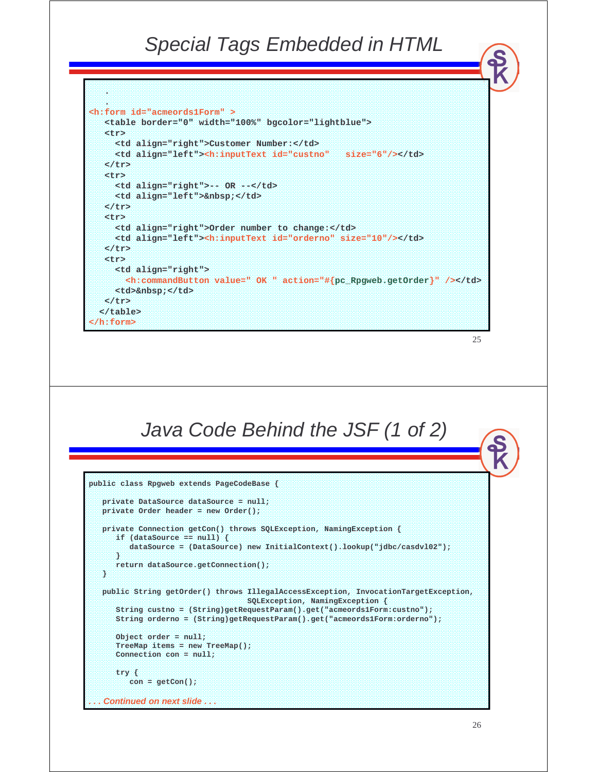#### Special Tags Embedded in HTML

```
25
  .
  .
<h:form id="acmeords1Form" >
  <table border="0" width="100%" bgcolor="lightblue">
  <tr>
     <td align="right">Customer Number:</td>
     <td align="left"><h:inputText id="custno" size="6"/></td>
  </tr>
  <tr>
     <td align="right">-- OR --</td>
     <td align="left">&nbsp;</td>
  </tr>
  <tr>
     <td align="right">Order number to change:</td>
     <td align="left"><h:inputText id="orderno" size="10"/></td>
  </tr>
   <tr>
     <td align="right">
       <h:commandButton value=" OK " action="#{pc_Rpgweb.getOrder}" /></td>
     <td>&nbsp;</td>
   </tr>
  </table>
</h:form>
          Java Code Behind the JSF (1 of 2)
public class Rpgweb extends PageCodeBase {
  private DataSource dataSource = null;
  private Order header = new Order();
  private Connection getCon() throws SQLException, NamingException {
     if (dataSource == null) {
        dataSource = (DataSource) new InitialContext().lookup("jdbc/casdvl02");
    }
     return dataSource.getConnection();
  }
  public String getOrder() throws IllegalAccessException, InvocationTargetException, 
                                SQLException, NamingException {
     String custno = (String)getRequestParam().get("acmeords1Form:custno");
     String orderno = (String)getRequestParam().get("acmeords1Form:orderno");
     Object order = null;
     TreeMap items = new TreeMap();
     Connection con = null;
     try {
        con = getCon();
  . . . Continued on next slide . . .
```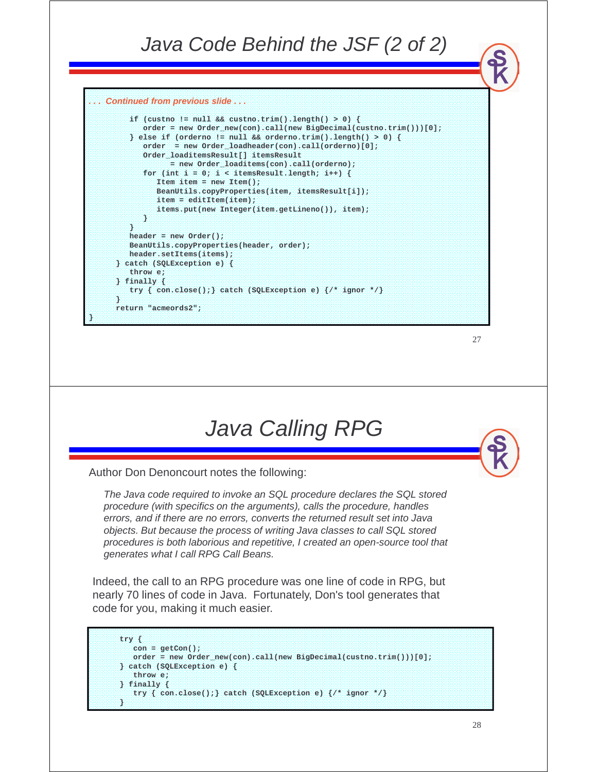#### Java Code Behind the JSF (2 of 2) **. . . Continued from previous slide . . . if (custno != null && custno.trim().length() > 0) { order = new Order\_new(con).call(new BigDecimal(custno.trim()))[0]; } else if (orderno != null && orderno.trim().length() > 0) {**



### Java Calling RPG

Author Don Denoncourt notes the following:

**}**

The Java code required to invoke an SQL procedure declares the SQL stored procedure (with specifics on the arguments), calls the procedure, handles errors, and if there are no errors, converts the returned result set into Java objects. But because the process of writing Java classes to call SQL stored procedures is both laborious and repetitive, I created an open-source tool that generates what I call RPG Call Beans.

Indeed, the call to an RPG procedure was one line of code in RPG, but nearly 70 lines of code in Java. Fortunately, Don's tool generates that code for you, making it much easier.

```
try {
   con = getCon();
   order = new Order_new(con).call(new BigDecimal(custno.trim()))[0];
} catch (SQLException e) {
   throw e; 
 } finally {
   try { con.close();} catch (SQLException e) {/* ignor */}
}
```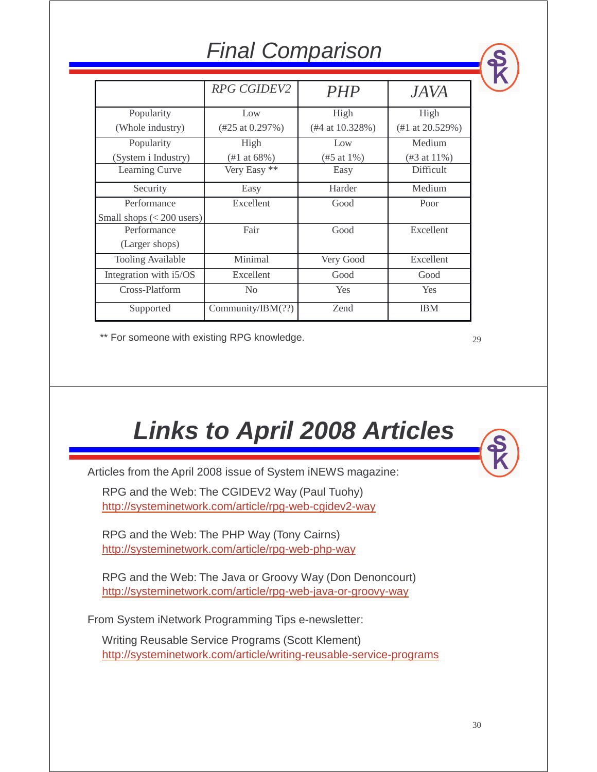| $11191$ vollipullovit     |                              |                       |                              |  |  |
|---------------------------|------------------------------|-----------------------|------------------------------|--|--|
|                           | <b>RPG CGIDEV2</b>           | <b>PHP</b>            | <i>JAVA</i>                  |  |  |
| Popularity                | Low                          | High                  | High                         |  |  |
| (Whole industry)          | $(\#25 \text{ at } 0.297\%)$ | $($ #4 at 10.328% $)$ | $(\#1 \text{ at } 20.529\%)$ |  |  |
| Popularity                | High                         | Low                   | Medium                       |  |  |
| (System i Industry)       | (#1 at 68%)                  | (#5 at 1%)            | $($ #3 at 11% $)$            |  |  |
| Learning Curve            | Very Easy **                 | Easy                  | Difficult                    |  |  |
| Security                  | Easy                         | Harder                | Medium                       |  |  |
| Performance               | Excellent                    | Good                  | Poor                         |  |  |
| Small shops $(200 users)$ |                              |                       |                              |  |  |
| Performance               | Fair                         | Good                  | Excellent                    |  |  |
| (Larger shops)            |                              |                       |                              |  |  |
| <b>Tooling Available</b>  | Minimal                      | Very Good             | Excellent                    |  |  |
| Integration with i5/OS    | Excellent                    | Good                  | Good                         |  |  |
| Cross-Platform            | N <sub>0</sub>               | Yes                   | Yes                          |  |  |
| Supported                 | Community/IBM(??)            | Zend                  | <b>IBM</b>                   |  |  |

Final Comparison

\*\* For someone with existing RPG knowledge.

29

# **Links to April 2008 Articles**

Articles from the April 2008 issue of System iNEWS magazine:

RPG and the Web: The CGIDEV2 Way (Paul Tuohy) http://systeminetwork.com/article/rpg-web-cgidev2-way

RPG and the Web: The PHP Way (Tony Cairns) http://systeminetwork.com/article/rpg-web-php-way

RPG and the Web: The Java or Groovy Way (Don Denoncourt) http://systeminetwork.com/article/rpg-web-java-or-groovy-way

From System iNetwork Programming Tips e-newsletter:

Writing Reusable Service Programs (Scott Klement) http://systeminetwork.com/article/writing-reusable-service-programs